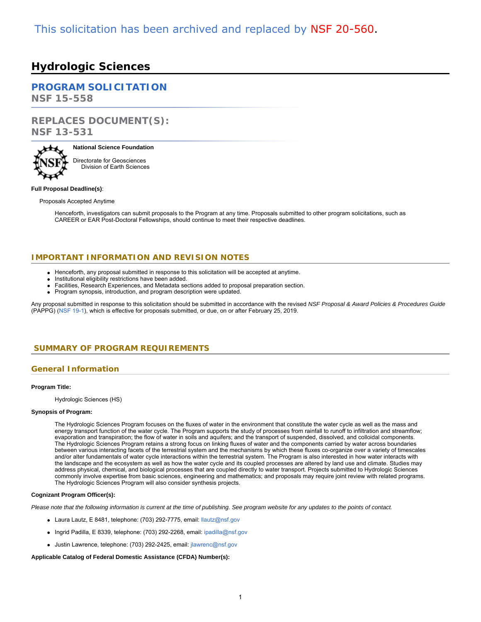# **Hydrologic Sciences**

# **[PROGRAM SOLICITATION](#page-2-0)**

**NSF 15-558**

# **REPLACES DOCUMENT(S): NSF 13-531**



# **National Science Foundation** Directorate for Geosciences

Division of Earth Sciences

#### **Full Proposal Deadline(s)**:

Proposals Accepted Anytime

Henceforth, investigators can submit proposals to the Program at any time. Proposals submitted to other program solicitations, such as CAREER or EAR Post-Doctoral Fellowships, should continue to meet their respective deadlines.

# **IMPORTANT INFORMATION AND REVISION NOTES**

- Henceforth, any proposal submitted in response to this solicitation will be accepted at anytime.
- Institutional eligibility restrictions have been added.
- Facilities, Research Experiences, and Metadata sections added to proposal preparation section.
- Program synopsis, introduction, and program description were updated.

Any proposal submitted in response to this solicitation should be submitted in accordance with the revised *NSF Proposal & Award Policies & Procedures Guide* (PAPPG) [\(NSF 19-1](https://www.nsf.gov/publications/pub_summ.jsp?ods_key=nsf19001)), which is effective for proposals submitted, or due, on or after February 25, 2019.

# <span id="page-0-0"></span>**SUMMARY OF PROGRAM REQUIREMENTS**

# **General Information**

#### **Program Title:**

Hydrologic Sciences (HS)

#### **Synopsis of Program:**

The Hydrologic Sciences Program focuses on the fluxes of water in the environment that constitute the water cycle as well as the mass and energy transport function of the water cycle. The Program supports the study of processes from rainfall to runoff to infiltration and streamflow; evaporation and transpiration; the flow of water in soils and aquifers; and the transport of suspended, dissolved, and colloidal components. The Hydrologic Sciences Program retains a strong focus on linking fluxes of water and the components carried by water across boundaries between various interacting facets of the terrestrial system and the mechanisms by which these fluxes co-organize over a variety of timescales and/or alter fundamentals of water cycle interactions within the terrestrial system. The Program is also interested in how water interacts with the landscape and the ecosystem as well as how the water cycle and its coupled processes are altered by land use and climate. Studies may address physical, chemical, and biological processes that are coupled directly to water transport. Projects submitted to Hydrologic Sciences commonly involve expertise from basic sciences, engineering and mathematics; and proposals may require joint review with related programs. The Hydrologic Sciences Program will also consider synthesis projects.

#### **Cognizant Program Officer(s):**

*Please note that the following information is current at the time of publishing. See program website for any updates to the points of contact.*

- Laura Lautz, E 8481, telephone: (703) 292-7775, email: [llautz@nsf.gov](mailto:llautz@nsf.gov)
- Ingrid Padilla, E 8339, telephone: (703) 292-2268, email: [ipadilla@nsf.gov](mailto:ipadilla@nsf.gov)
- Justin Lawrence, telephone: (703) 292-2425, email: [jlawrenc@nsf.gov](mailto:jlawrenc@nsf.gov)

#### **Applicable Catalog of Federal Domestic Assistance (CFDA) Number(s):**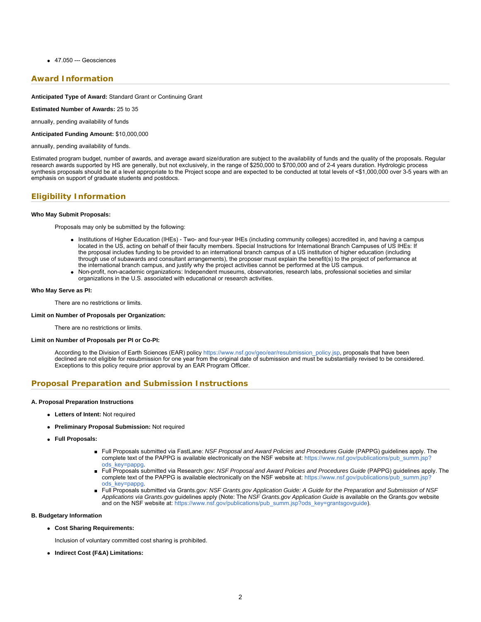47.050 --- Geosciences

### **Award Information**

**Anticipated Type of Award:** Standard Grant or Continuing Grant

**Estimated Number of Awards:** 25 to 35

annually, pending availability of funds

**Anticipated Funding Amount:** \$10,000,000

annually, pending availability of funds.

Estimated program budget, number of awards, and average award size/duration are subject to the availability of funds and the quality of the proposals. Regular research awards supported by HS are generally, but not exclusively, in the range of \$250,000 to \$700,000 and of 2-4 years duration. Hydrologic process synthesis proposals should be at a level appropriate to the Project scope and are expected to be conducted at total levels of <\$1,000,000 over 3-5 years with an emphasis on support of graduate students and postdocs.

# **Eligibility Information**

#### **Who May Submit Proposals:**

Proposals may only be submitted by the following:

- Institutions of Higher Education (IHEs) Two- and four-year IHEs (including community colleges) accredited in, and having a campus located in the US, acting on behalf of their faculty members. Special Instructions for International Branch Campuses of US IHEs: If the proposal includes funding to be provided to an international branch campus of a US institution of higher education (including through use of subawards and consultant arrangements), the proposer must explain the benefit(s) to the project of performance at the international branch campus, and justify why the project activities cannot be performed at the US campus.
- Non-profit, non-academic organizations: Independent museums, observatories, research labs, professional societies and similar organizations in the U.S. associated with educational or research activities.

#### **Who May Serve as PI:**

There are no restrictions or limits.

#### **Limit on Number of Proposals per Organization:**

There are no restrictions or limits.

#### **Limit on Number of Proposals per PI or Co-PI:**

According to the Division of Earth Sciences (EAR) policy https://www.nsf.gov/geo/ear/resubmission policy.jsp, proposals that have been declined are not eligible for resubmission for one year from the original date of submission and must be substantially revised to be considered. Exceptions to this policy require prior approval by an EAR Program Officer.

# **Proposal Preparation and Submission Instructions**

#### **A. Proposal Preparation Instructions**

- **Letters of Intent:** Not required
- **Preliminary Proposal Submission:** Not required
- **Full Proposals:**
	- Full Proposals submitted via FastLane: *NSF Proposal and Award Policies and Procedures Guide* (PAPPG) guidelines apply. The complete text of the PAPPG is available electronically on the NSF website at: [https://www.nsf.gov/publications/pub\\_summ.jsp?](https://www.nsf.gov/publications/pub_summ.jsp?ods_key=pappg) [ods\\_key=pappg.](https://www.nsf.gov/publications/pub_summ.jsp?ods_key=pappg)
	- Full Proposals submitted via Research.gov: *NSF Proposal and Award Policies and Procedures Guide* (PAPPG) guidelines apply. The complete text of the PAPPG is available electronically on the NSF website at: [https://www.nsf.gov/publications/pub\\_summ.jsp?](https://www.nsf.gov/publications/pub_summ.jsp?ods_key=pappg) [ods\\_key=pappg.](https://www.nsf.gov/publications/pub_summ.jsp?ods_key=pappg)
	- Full Proposals submitted via Grants.gov: *NSF Grants.gov Application Guide: A Guide for the Preparation and Submission of NSF Applications via Grants.gov* guidelines apply (Note: The *NSF Grants.gov Application Guide* is available on the Grants.gov website and on the NSF website at: [https://www.nsf.gov/publications/pub\\_summ.jsp?ods\\_key=grantsgovguide](https://www.nsf.gov/publications/pub_summ.jsp?ods_key=grantsgovguide)).

#### **B. Budgetary Information**

**Cost Sharing Requirements:**

Inclusion of voluntary committed cost sharing is prohibited.

**Indirect Cost (F&A) Limitations:**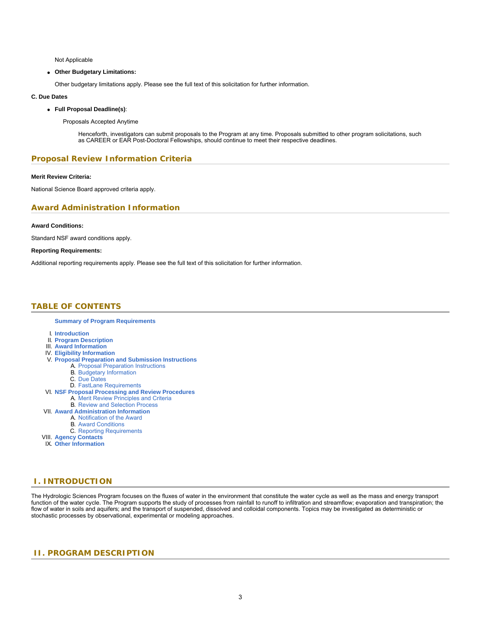Not Applicable

#### **Other Budgetary Limitations:**

Other budgetary limitations apply. Please see the full text of this solicitation for further information.

#### **C. Due Dates**

**Full Proposal Deadline(s)**:

Proposals Accepted Anytime

Henceforth, investigators can submit proposals to the Program at any time. Proposals submitted to other program solicitations, such as CAREER or EAR Post-Doctoral Fellowships, should continue to meet their respective deadlines.

# **Proposal Review Information Criteria**

### **Merit Review Criteria:**

National Science Board approved criteria apply.

### **Award Administration Information**

#### **Award Conditions:**

Standard NSF award conditions apply.

#### **Reporting Requirements:**

<span id="page-2-0"></span>Additional reporting requirements apply. Please see the full text of this solicitation for further information.

# **TABLE OF CONTENTS**

**[Summary of Program Requirements](#page-0-0)**

- I. **[Introduction](#page-2-1)**
- II. **[Program Description](#page-2-2)**
- III. **[Award Information](#page-3-0)**
- IV. **[Eligibility Information](#page-3-1)**
- V. **[Proposal Preparation and Submission Instructions](#page-4-0)**
	- A. [Proposal Preparation Instructions](#page-4-0)
		- B. [Budgetary Information](#page-5-0)
		- C. [Due Dates](#page-5-1)
		- D. [FastLane Requirements](#page-5-2)
- VI. **[NSF Proposal Processing and Review Procedures](#page-5-3)**
- A. [Merit Review Principles and Criteria](#page-6-0)
	- B. [Review and Selection Process](#page-7-0)
- VII. **[Award Administration Information](#page-7-1)**
	- A. [Notification of the Award](#page-7-2)
		- B. [Award Conditions](#page-7-3)
	- C. [Reporting Requirements](#page-7-4)
- VIII. **[Agency Contacts](#page-8-0)**
- IX. **[Other Information](#page-8-1)**

# <span id="page-2-1"></span>**I. INTRODUCTION**

The Hydrologic Sciences Program focuses on the fluxes of water in the environment that constitute the water cycle as well as the mass and energy transport function of the water cycle. The Program supports the study of processes from rainfall to runoff to infiltration and streamflow; evaporation and transpiration; the flow of water in soils and aquifers; and the transport of suspended, dissolved and colloidal components. Topics may be investigated as deterministic or stochastic processes by observational, experimental or modeling approaches.

# <span id="page-2-2"></span>**II. PROGRAM DESCRIPTION**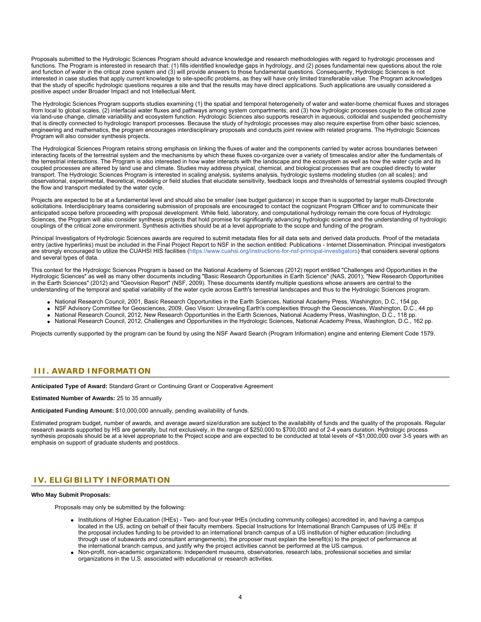Proposals submitted to the Hydrologic Sciences Program should advance knowledge and research methodologies with regard to hydrologic processes and functions. The Program is interested in research that: (1) fills identified knowledge gaps in hydrology, and (2) poses fundamental new questions about the role and function of water in the critical zone system and (3) will provide answers to those fundamental questions. Consequently, Hydrologic Sciences is not interested in case studies that apply current knowledge to site-specific problems, as they will have only limited transferable value. The Program acknowledges that the study of specific hydrologic questions requires a site and that the results may have direct applications. Such applications are usually considered a positive aspect under Broader Impact and not Intellectual Merit.

The Hydrologic Sciences Program supports studies examining (1) the spatial and temporal heterogeneity of water and water-borne chemical fluxes and storages from local to global scales, (2) interfacial water fluxes and pathways among system compartments; and (3) how hydrologic processes couple to the critical zone via land-use change, climate variability and ecosystem function. Hydrologic Sciences also supports research in aqueous, colloidal and suspended geochemistry that is directly connected to hydrologic transport processes. Because the study of hydrologic processes may also require expertise from other basic sciences, engineering and mathematics, the program encourages interdisciplinary proposals and conducts joint review with related programs. The Hydrologic Sciences Program will also consider synthesis projects.

The Hydrological Sciences Program retains strong emphasis on linking the fluxes of water and the components carried by water across boundaries between interacting facets of the terrestrial system and the mechanisms by which these fluxes co-organize over a variety of timescales and/or alter the fundamentals of the terrestrial interactions. The Program is also interested in how water interacts with the landscape and the ecosystem as well as how the water cycle and its coupled processes are altered by land use and climate. Studies may address physical, chemical, and biological processes that are coupled directly to water transport. The Hydrologic Sciences Program is interested in scaling analysis, systems analysis, hydrologic systems modeling studies (on all scales); and observational, experimental, theoretical, modeling or field studies that elucidate sensitivity, feedback loops and thresholds of terrestrial systems coupled through the flow and transport mediated by the water cycle.

Projects are expected to be at a fundamental level and should also be smaller (see budget guidance) in scope than is supported by larger multi-Directorate solicitations. Interdisciplinary teams considering submission of proposals are encouraged to contact the cognizant Program Officer and to communicate their anticipated scope before proceeding with proposal development. While field, laboratory, and computational hydrology remain the core focus of Hydrologic Sciences, the Program will also consider synthesis projects that hold promise for significantly advancing hydrologic science and the understanding of hydrologic couplings of the critical zone environment. Synthesis activities should be at a level appropriate to the scope and funding of the program.

Principal Investigators of Hydrologic Sciences awards are required to submit metadata files for all data sets and derived data products. Proof of the metadata entry (active hyperlinks) must be included in the Final Project Report to NSF in the section entitled: Publications - Internet Dissemination. Principal investigators are strongly encouraged to utilize the CUAHSI HIS facilities [\(https://www.cuahsi.org/instructions-for-nsf-principal-investigators](https://www.nsf.gov/cgi-bin/goodbye?https://www.cuahsi.org/instructions-for-nsf-principal-investigators)) that considers several options and several types of data.

This context for the Hydrologic Sciences Program is based on the National Academy of Sciences (2012) report entitled "Challenges and Opportunities in the Hydrologic Sciences" as well as many other documents including "Basic Research Opportunities in Earth Science" (NAS, 2001); "New Research Opportunities in the Earth Sciences" (2012) and "Geovision Report" (NSF, 2009). These documents identify multiple questions whose answers are central to the understanding of the temporal and spatial variability of the water cycle across Earth's terrestrial landscapes and thus to the Hydrologic Sciences program.

- National Research Council, 2001, Basic Research Opportunities in the Earth Sciences, National Academy Press, Washington, D.C., 154 pp.
- NSF Advisory Committee for Geosciences, 2009, Geo Vision: Unraveling Earth's complexities through the Geosciences, Washington, D.C., 44 pp
- National Research Council, 2012, New Research Opportunities in the Earth Sciences, National Academy Press, Washington, D.C., 118 pp.
- National Research Council, 2012, Challenges and Opportunities in the Hydrologic Sciences, National Academy Press, Washington, D.C., 162 pp.

Projects currently supported by the program can be found by using the NSF Award Search (Program Information) engine and entering Element Code 1579.

# <span id="page-3-0"></span>**III. AWARD INFORMATION**

**Anticipated Type of Award:** Standard Grant or Continuing Grant or Cooperative Agreement

**Estimated Number of Awards:** 25 to 35 annually

**Anticipated Funding Amount:** \$10,000,000 annually, pending availability of funds.

Estimated program budget, number of awards, and average award size/duration are subject to the availability of funds and the quality of the proposals. Regular research awards supported by HS are generally, but not exclusively, in the range of \$250,000 to \$700,000 and of 2-4 years duration. Hydrologic process synthesis proposals should be at a level appropriate to the Project scope and are expected to be conducted at total levels of <\$1,000,000 over 3-5 years with an emphasis on support of graduate students and postdocs.

### <span id="page-3-1"></span>**IV. ELIGIBILITY INFORMATION**

#### **Who May Submit Proposals:**

Proposals may only be submitted by the following:

- Institutions of Higher Education (IHEs) Two- and four-year IHEs (including community colleges) accredited in, and having a campus located in the US, acting on behalf of their faculty members. Special Instructions for International Branch Campuses of US IHEs: If the proposal includes funding to be provided to an international branch campus of a US institution of higher education (including through use of subawards and consultant arrangements), the proposer must explain the benefit(s) to the project of performance at the international branch campus, and justify why the project activities cannot be performed at the US campus.
- Non-profit, non-academic organizations: Independent museums, observatories, research labs, professional societies and similar organizations in the U.S. associated with educational or research activities.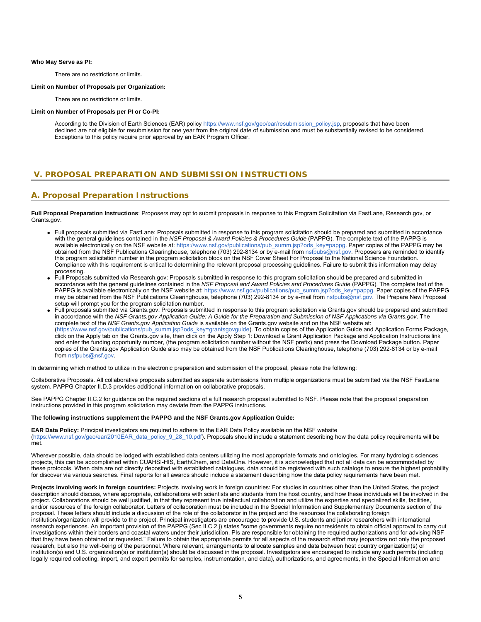#### **Who May Serve as PI:**

There are no restrictions or limits.

#### **Limit on Number of Proposals per Organization:**

There are no restrictions or limits.

#### **Limit on Number of Proposals per PI or Co-PI:**

According to the Division of Earth Sciences (EAR) policy https://www.nsf.gov/geo/ear/resubmission policy.jsp, proposals that have been declined are not eligible for resubmission for one year from the original date of submission and must be substantially revised to be considered. Exceptions to this policy require prior approval by an EAR Program Officer.

# <span id="page-4-0"></span>**V. PROPOSAL PREPARATION AND SUBMISSION INSTRUCTIONS**

### **A. Proposal Preparation Instructions**

**Full Proposal Preparation Instructions**: Proposers may opt to submit proposals in response to this Program Solicitation via FastLane, Research.gov, or Grants.gov.

- Full proposals submitted via FastLane: Proposals submitted in response to this program solicitation should be prepared and submitted in accordance with the general guidelines contained in the *NSF Proposal & Award Policies & Procedures Guide* (PAPPG). The complete text of the PAPPG is available electronically on the NSF website at: [https://www.nsf.gov/publications/pub\\_summ.jsp?ods\\_key=pappg](https://www.nsf.gov/publications/pub_summ.jsp?ods_key=pappg). Paper copies of the PAPPG may be obtained from the NSF Publications Clearinghouse, telephone (703) 292-8134 or by e-mail from [nsfpubs@nsf.gov](mailto:nsfpubs@nsf.gov). Proposers are reminded to identify this program solicitation number in the program solicitation block on the NSF Cover Sheet For Proposal to the National Science Foundation. Compliance with this requirement is critical to determining the relevant proposal processing guidelines. Failure to submit this information may delay processing.
- Full Proposals submitted via Research.gov: Proposals submitted in response to this program solicitation should be prepared and submitted in accordance with the general guidelines contained in the *NSF Proposal and Award Policies and Procedures Guide* (PAPPG). The complete text of the PAPPG is available electronically on the NSF website at: [https://www.nsf.gov/publications/pub\\_summ.jsp?ods\\_key=pappg](https://www.nsf.gov/publications/pub_summ.jsp?ods_key=pappg). Paper copies of the PAPPG may be obtained from the NSF Publications Clearinghouse, telephone (703) 292-8134 or by e-mail from [nsfpubs@nsf.gov.](mailto:nsfpubs@nsf.gov) The Prepare New Proposal setup will prompt you for the program solicitation number.
- Full proposals submitted via Grants.gov: Proposals submitted in response to this program solicitation via Grants.gov should be prepared and submitted in accordance with the *NSF Grants.gov Application Guide: A Guide for the Preparation and Submission of NSF Applications via Grants.gov*. The complete text of the *NSF Grants.gov Application Guide* is available on the Grants.gov website and on the NSF website at: [\(https://www.nsf.gov/publications/pub\\_summ.jsp?ods\\_key=grantsgovguide](https://www.nsf.gov/publications/pub_summ.jsp?ods_key=grantsgovguide)). To obtain copies of the Application Guide and Application Forms Package, click on the Apply tab on the Grants.gov site, then click on the Apply Step 1: Download a Grant Application Package and Application Instructions link and enter the funding opportunity number, (the program solicitation number without the NSF prefix) and press the Download Package button. Paper copies of the Grants.gov Application Guide also may be obtained from the NSF Publications Clearinghouse, telephone (703) 292-8134 or by e-mail from [nsfpubs@nsf.gov](mailto:nsfpubs@nsf.gov).

In determining which method to utilize in the electronic preparation and submission of the proposal, please note the following:

Collaborative Proposals. All collaborative proposals submitted as separate submissions from multiple organizations must be submitted via the NSF FastLane system. PAPPG Chapter II.D.3 provides additional information on collaborative proposals.

See PAPPG Chapter II.C.2 for guidance on the required sections of a full research proposal submitted to NSF. Please note that the proposal preparation instructions provided in this program solicitation may deviate from the PAPPG instructions.

#### **The following instructions supplement the PAPPG and the NSF Grants.gov Application Guide:**

**EAR Data Policy:** Principal investigators are required to adhere to the EAR Data Policy available on the NSF website [\(https://www.nsf.gov/geo/ear/2010EAR\\_data\\_policy\\_9\\_28\\_10.pdf\)](https://www.nsf.gov/geo/ear/2010EAR_data_policy_9_28_10.pdf). Proposals should include a statement describing how the data policy requirements will be met.

Wherever possible, data should be lodged with established data centers utilizing the most appropriate formats and ontologies. For many hydrologic sciences projects, this can be accomplished within CUAHSI-HIS, EarthChem, and DataOne. However, it is acknowledged that not all data can be accommodated by these protocols. When data are not directly deposited with established catalogues, data should be registered with such catalogs to ensure the highest probability for discover via various searches. Final reports for all awards should include a statement describing how the data policy requirements have been met.

**Projects involving work in foreign countries:** Projects involving work in foreign countries: For studies in countries other than the United States, the project description should discuss, where appropriate, collaborations with scientists and students from the host country, and how these individuals will be involved in the project. Collaborations should be well justified, in that they represent true intellectual collaboration and utilize the expertise and specialized skills, facilities, and/or resources of the foreign collaborator. Letters of collaboration must be included in the Special Information and Supplementary Documents section of the proposal. These letters should include a discussion of the role of the collaborator in the project and the resources the collaborating foreign institution/organization will provide to the project. Principal investigators are encouraged to provide U.S. students and junior researchers with international research experiences. An important provision of the PAPPG (Sec II.C.2.j) states "some governments require nonresidents to obtain official approval to carry out investigations within their borders and coastal waters under their jurisdiction. PIs are responsible for obtaining the required authorizations and for advising NSF that they have been obtained or requested." Failure to obtain the appropriate permits for all aspects of the research effort may jeopardize not only the proposed research, but also the well-being of the personnel. Where relevant, arrangements to allocate samples and data between host country organization(s) or institution(s) and U.S. organization(s) or institution(s) should be discussed in the proposal. Investigators are encouraged to include any such permits (including legally required collecting, import, and export permits for samples, instrumentation, and data), authorizations, and agreements, in the Special Information and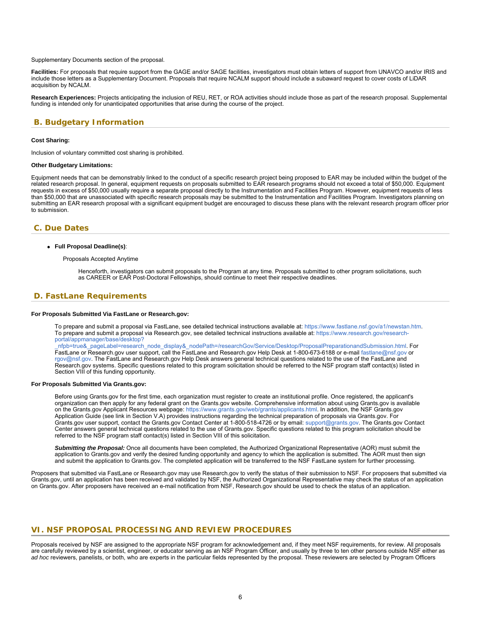Supplementary Documents section of the proposal.

**Facilities:** For proposals that require support from the GAGE and/or SAGE facilities, investigators must obtain letters of support from UNAVCO and/or IRIS and include those letters as a Supplementary Document. Proposals that require NCALM support should include a subaward request to cover costs of LiDAR acquisition by NCALM.

**Research Experiences:** Projects anticipating the inclusion of REU, RET, or ROA activities should include those as part of the research proposal. Supplemental funding is intended only for unanticipated opportunities that arise during the course of the project.

# <span id="page-5-0"></span>**B. Budgetary Information**

#### **Cost Sharing:**

Inclusion of voluntary committed cost sharing is prohibited.

#### **Other Budgetary Limitations:**

Equipment needs that can be demonstrably linked to the conduct of a specific research project being proposed to EAR may be included within the budget of the related research proposal. In general, equipment requests on proposals submitted to EAR research programs should not exceed a total of \$50,000. Equipment requests in excess of \$50,000 usually require a separate proposal directly to the Instrumentation and Facilities Program. However, equipment requests of less than \$50,000 that are unassociated with specific research proposals may be submitted to the Instrumentation and Facilities Program. Investigators planning on submitting an EAR research proposal with a significant equipment budget are encouraged to discuss these plans with the relevant research program officer prior to submission.

### <span id="page-5-1"></span>**C. Due Dates**

#### **Full Proposal Deadline(s)**:

Proposals Accepted Anytime

Henceforth, investigators can submit proposals to the Program at any time. Proposals submitted to other program solicitations, such as CAREER or EAR Post-Doctoral Fellowships, should continue to meet their respective deadlines.

# <span id="page-5-2"></span>**D. FastLane Requirements**

#### **For Proposals Submitted Via FastLane or Research.gov:**

To prepare and submit a proposal via FastLane, see detailed technical instructions available at: <https://www.fastlane.nsf.gov/a1/newstan.htm>. To prepare and submit a proposal via Research.gov, see detailed technical instructions available at: [https://www.research.gov/research](https://www.research.gov/research-portal/appmanager/base/desktop?_nfpb=true&_pageLabel=research_node_display&_nodePath=/researchGov/Service/Desktop/ProposalPreparationandSubmission.html)[portal/appmanager/base/desktop?](https://www.research.gov/research-portal/appmanager/base/desktop?_nfpb=true&_pageLabel=research_node_display&_nodePath=/researchGov/Service/Desktop/ProposalPreparationandSubmission.html)

[\\_nfpb=true&\\_pageLabel=research\\_node\\_display&\\_nodePath=/researchGov/Service/Desktop/ProposalPreparationandSubmission.html](https://www.research.gov/research-portal/appmanager/base/desktop?_nfpb=true&_pageLabel=research_node_display&_nodePath=/researchGov/Service/Desktop/ProposalPreparationandSubmission.html). For FastLane or Research.gov user support, call the FastLane and Research.gov Help Desk at 1-800-673-6188 or e-mail [fastlane@nsf.gov](mailto:fastlane@nsf.gov) or [rgov@nsf.gov](mailto:rgov@nsf.gov). The FastLane and Research.gov Help Desk answers general technical questions related to the use of the FastLane and Research.gov systems. Specific questions related to this program solicitation should be referred to the NSF program staff contact(s) listed in Section VIII of this funding opportunity.

#### **For Proposals Submitted Via Grants.gov:**

Before using Grants.gov for the first time, each organization must register to create an institutional profile. Once registered, the applicant's organization can then apply for any federal grant on the Grants.gov website. Comprehensive information about using Grants.gov is available on the Grants.gov Applicant Resources webpage:<https://www.grants.gov/web/grants/applicants.html>. In addition, the NSF Grants.gov Application Guide (see link in Section V.A) provides instructions regarding the technical preparation of proposals via Grants.gov. For Grants.gov user support, contact the Grants.gov Contact Center at 1-800-518-4726 or by email: [support@grants.gov.](mailto:support@grants.gov) The Grants.gov Contact Center answers general technical questions related to the use of Grants.gov. Specific questions related to this program solicitation should be referred to the NSF program staff contact(s) listed in Section VIII of this solicitation.

*Submitting the Proposal:* Once all documents have been completed, the Authorized Organizational Representative (AOR) must submit the application to Grants.gov and verify the desired funding opportunity and agency to which the application is submitted. The AOR must then sign and submit the application to Grants.gov. The completed application will be transferred to the NSF FastLane system for further processing.

<span id="page-5-3"></span>Proposers that submitted via FastLane or Research.gov may use Research.gov to verify the status of their submission to NSF. For proposers that submitted via Grants.gov, until an application has been received and validated by NSF, the Authorized Organizational Representative may check the status of an application on Grants.gov. After proposers have received an e-mail notification from NSF, Research.gov should be used to check the status of an application.

### **VI. NSF PROPOSAL PROCESSING AND REVIEW PROCEDURES**

Proposals received by NSF are assigned to the appropriate NSF program for acknowledgement and, if they meet NSF requirements, for review. All proposals are carefully reviewed by a scientist, engineer, or educator serving as an NSF Program Officer, and usually by three to ten other persons outside NSF either as *ad hoc* reviewers, panelists, or both, who are experts in the particular fields represented by the proposal. These reviewers are selected by Program Officers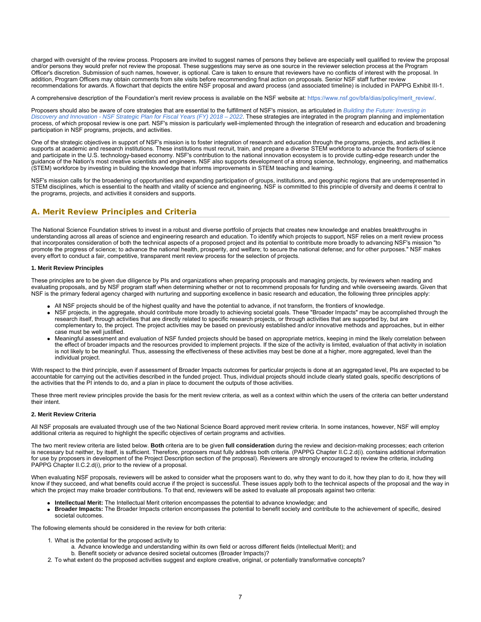charged with oversight of the review process. Proposers are invited to suggest names of persons they believe are especially well qualified to review the proposal and/or persons they would prefer not review the proposal. These suggestions may serve as one source in the reviewer selection process at the Program Officer's discretion. Submission of such names, however, is optional. Care is taken to ensure that reviewers have no conflicts of interest with the proposal. In addition, Program Officers may obtain comments from site visits before recommending final action on proposals. Senior NSF staff further review recommendations for awards. A flowchart that depicts the entire NSF proposal and award process (and associated timeline) is included in PAPPG Exhibit III-1.

A comprehensive description of the Foundation's merit review process is available on the NSF website at: [https://www.nsf.gov/bfa/dias/policy/merit\\_review/](https://www.nsf.gov/bfa/dias/policy/merit_review/).

Proposers should also be aware of core strategies that are essential to the fulfillment of NSF's mission, as articulated in *[Building the Future: Investing in](https://www.nsf.gov/publications/pub_summ.jsp?ods_key=nsf18045) [Discovery and Innovation - NSF Strategic Plan for Fiscal Years \(FY\) 2018 – 2022](https://www.nsf.gov/publications/pub_summ.jsp?ods_key=nsf18045)*. These strategies are integrated in the program planning and implementation process, of which proposal review is one part. NSF's mission is particularly well-implemented through the integration of research and education and broadening participation in NSF programs, projects, and activities.

One of the strategic objectives in support of NSF's mission is to foster integration of research and education through the programs, projects, and activities it supports at academic and research institutions. These institutions must recruit, train, and prepare a diverse STEM workforce to advance the frontiers of science and participate in the U.S. technology-based economy. NSF's contribution to the national innovation ecosystem is to provide cutting-edge research under the guidance of the Nation's most creative scientists and engineers. NSF also supports development of a strong science, technology, engineering, and mathematics (STEM) workforce by investing in building the knowledge that informs improvements in STEM teaching and learning.

NSF's mission calls for the broadening of opportunities and expanding participation of groups, institutions, and geographic regions that are underrepresented in STEM disciplines, which is essential to the health and vitality of science and engineering. NSF is committed to this principle of diversity and deems it central to the programs, projects, and activities it considers and supports.

# <span id="page-6-0"></span>**A. Merit Review Principles and Criteria**

The National Science Foundation strives to invest in a robust and diverse portfolio of projects that creates new knowledge and enables breakthroughs in understanding across all areas of science and engineering research and education. To identify which projects to support, NSF relies on a merit review process that incorporates consideration of both the technical aspects of a proposed project and its potential to contribute more broadly to advancing NSF's mission "to promote the progress of science; to advance the national health, prosperity, and welfare; to secure the national defense; and for other purposes." NSF makes every effort to conduct a fair, competitive, transparent merit review process for the selection of projects.

#### **1. Merit Review Principles**

These principles are to be given due diligence by PIs and organizations when preparing proposals and managing projects, by reviewers when reading and evaluating proposals, and by NSF program staff when determining whether or not to recommend proposals for funding and while overseeing awards. Given that NSF is the primary federal agency charged with nurturing and supporting excellence in basic research and education, the following three principles apply:

- All NSF projects should be of the highest quality and have the potential to advance, if not transform, the frontiers of knowledge.
- NSF projects, in the aggregate, should contribute more broadly to achieving societal goals. These "Broader Impacts" may be accomplished through the research itself, through activities that are directly related to specific research projects, or through activities that are supported by, but are complementary to, the project. The project activities may be based on previously established and/or innovative methods and approaches, but in either case must be well justified.
- Meaningful assessment and evaluation of NSF funded projects should be based on appropriate metrics, keeping in mind the likely correlation between the effect of broader impacts and the resources provided to implement projects. If the size of the activity is limited, evaluation of that activity in isolation is not likely to be meaningful. Thus, assessing the effectiveness of these activities may best be done at a higher, more aggregated, level than the individual project.

With respect to the third principle, even if assessment of Broader Impacts outcomes for particular projects is done at an aggregated level, PIs are expected to be accountable for carrying out the activities described in the funded project. Thus, individual projects should include clearly stated goals, specific descriptions of the activities that the PI intends to do, and a plan in place to document the outputs of those activities.

These three merit review principles provide the basis for the merit review criteria, as well as a context within which the users of the criteria can better understand their intent.

#### **2. Merit Review Criteria**

All NSF proposals are evaluated through use of the two National Science Board approved merit review criteria. In some instances, however, NSF will employ additional criteria as required to highlight the specific objectives of certain programs and activities.

The two merit review criteria are listed below. **Both** criteria are to be given **full consideration** during the review and decision-making processes; each criterion is necessary but neither, by itself, is sufficient. Therefore, proposers must fully address both criteria. (PAPPG Chapter II.C.2.d(i). contains additional information for use by proposers in development of the Project Description section of the proposal). Reviewers are strongly encouraged to review the criteria, including PAPPG Chapter II.C.2.d(i), prior to the review of a proposal.

When evaluating NSF proposals, reviewers will be asked to consider what the proposers want to do, why they want to do it, how they plan to do it, how they will know if they succeed, and what benefits could accrue if the project is successful. These issues apply both to the technical aspects of the proposal and the way in which the project may make broader contributions. To that end, reviewers will be asked to evaluate all proposals against two criteria:

- **Intellectual Merit:** The Intellectual Merit criterion encompasses the potential to advance knowledge; and
- **Broader Impacts:** The Broader Impacts criterion encompasses the potential to benefit society and contribute to the achievement of specific, desired societal outcomes.

The following elements should be considered in the review for both criteria:

- 1. What is the potential for the proposed activity to
	- a. Advance knowledge and understanding within its own field or across different fields (Intellectual Merit); and
	- b. Benefit society or advance desired societal outcomes (Broader Impacts)?
- 2. To what extent do the proposed activities suggest and explore creative, original, or potentially transformative concepts?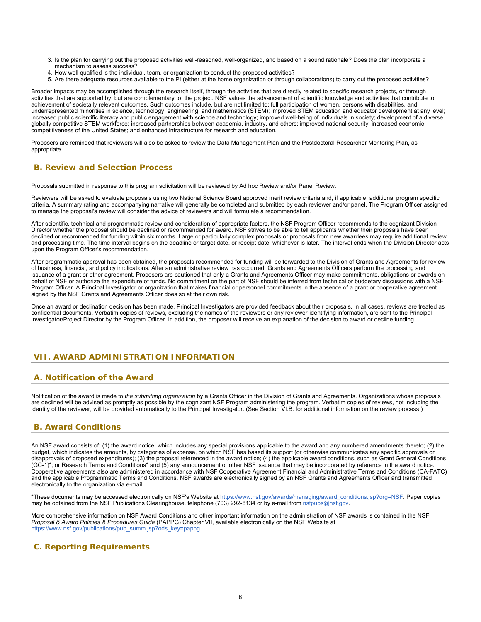- 3. Is the plan for carrying out the proposed activities well-reasoned, well-organized, and based on a sound rationale? Does the plan incorporate a mechanism to assess success?
- 4. How well qualified is the individual, team, or organization to conduct the proposed activities?
- 5. Are there adequate resources available to the PI (either at the home organization or through collaborations) to carry out the proposed activities?

Broader impacts may be accomplished through the research itself, through the activities that are directly related to specific research projects, or through activities that are supported by, but are complementary to, the project. NSF values the advancement of scientific knowledge and activities that contribute to achievement of societally relevant outcomes. Such outcomes include, but are not limited to: full participation of women, persons with disabilities, and underrepresented minorities in science, technology, engineering, and mathematics (STEM); improved STEM education and educator development at any level; increased public scientific literacy and public engagement with science and technology; improved well-being of individuals in society; development of a diverse, globally competitive STEM workforce; increased partnerships between academia, industry, and others; improved national security; increased economic competitiveness of the United States; and enhanced infrastructure for research and education.

Proposers are reminded that reviewers will also be asked to review the Data Management Plan and the Postdoctoral Researcher Mentoring Plan, as appropriate.

# <span id="page-7-0"></span>**B. Review and Selection Process**

Proposals submitted in response to this program solicitation will be reviewed by Ad hoc Review and/or Panel Review.

Reviewers will be asked to evaluate proposals using two National Science Board approved merit review criteria and, if applicable, additional program specific criteria. A summary rating and accompanying narrative will generally be completed and submitted by each reviewer and/or panel. The Program Officer assigned to manage the proposal's review will consider the advice of reviewers and will formulate a recommendation.

After scientific, technical and programmatic review and consideration of appropriate factors, the NSF Program Officer recommends to the cognizant Division Director whether the proposal should be declined or recommended for award. NSF strives to be able to tell applicants whether their proposals have been declined or recommended for funding within six months. Large or particularly complex proposals or proposals from new awardees may require additional review and processing time. The time interval begins on the deadline or target date, or receipt date, whichever is later. The interval ends when the Division Director acts upon the Program Officer's recommendation.

After programmatic approval has been obtained, the proposals recommended for funding will be forwarded to the Division of Grants and Agreements for review of business, financial, and policy implications. After an administrative review has occurred, Grants and Agreements Officers perform the processing and issuance of a grant or other agreement. Proposers are cautioned that only a Grants and Agreements Officer may make commitments, obligations or awards on behalf of NSF or authorize the expenditure of funds. No commitment on the part of NSF should be inferred from technical or budgetary discussions with a NSF Program Officer. A Principal Investigator or organization that makes financial or personnel commitments in the absence of a grant or cooperative agreement signed by the NSF Grants and Agreements Officer does so at their own risk.

Once an award or declination decision has been made, Principal Investigators are provided feedback about their proposals. In all cases, reviews are treated as confidential documents. Verbatim copies of reviews, excluding the names of the reviewers or any reviewer-identifying information, are sent to the Principal Investigator/Project Director by the Program Officer. In addition, the proposer will receive an explanation of the decision to award or decline funding.

# <span id="page-7-1"></span>**VII. AWARD ADMINISTRATION INFORMATION**

# <span id="page-7-2"></span>**A. Notification of the Award**

Notification of the award is made to *the submitting organization* by a Grants Officer in the Division of Grants and Agreements. Organizations whose proposals are declined will be advised as promptly as possible by the cognizant NSF Program administering the program. Verbatim copies of reviews, not including the identity of the reviewer, will be provided automatically to the Principal Investigator. (See Section VI.B. for additional information on the review process.)

# <span id="page-7-3"></span>**B. Award Conditions**

An NSF award consists of: (1) the award notice, which includes any special provisions applicable to the award and any numbered amendments thereto; (2) the budget, which indicates the amounts, by categories of expense, on which NSF has based its support (or otherwise communicates any specific approvals or disapprovals of proposed expenditures); (3) the proposal referenced in the award notice; (4) the applicable award conditions, such as Grant General Conditions (GC-1)\*; or Research Terms and Conditions\* and (5) any announcement or other NSF issuance that may be incorporated by reference in the award notice. Cooperative agreements also are administered in accordance with NSF Cooperative Agreement Financial and Administrative Terms and Conditions (CA-FATC) and the applicable Programmatic Terms and Conditions. NSF awards are electronically signed by an NSF Grants and Agreements Officer and transmitted electronically to the organization via e-mail.

\*These documents may be accessed electronically on NSF's Website at [https://www.nsf.gov/awards/managing/award\\_conditions.jsp?org=NSF](https://www.nsf.gov/awards/managing/award_conditions.jsp?org=NSF). Paper copies may be obtained from the NSF Publications Clearinghouse, telephone (703) 292-8134 or by e-mail from [nsfpubs@nsf.gov.](mailto:nsfpubs@nsf.gov)

More comprehensive information on NSF Award Conditions and other important information on the administration of NSF awards is contained in the NSF *Proposal & Award Policies & Procedures Guide* (PAPPG) Chapter VII, available electronically on the NSF Website at [https://www.nsf.gov/publications/pub\\_summ.jsp?ods\\_key=pappg.](https://www.nsf.gov/publications/pub_summ.jsp?ods_key=pappg)

# <span id="page-7-4"></span>**C. Reporting Requirements**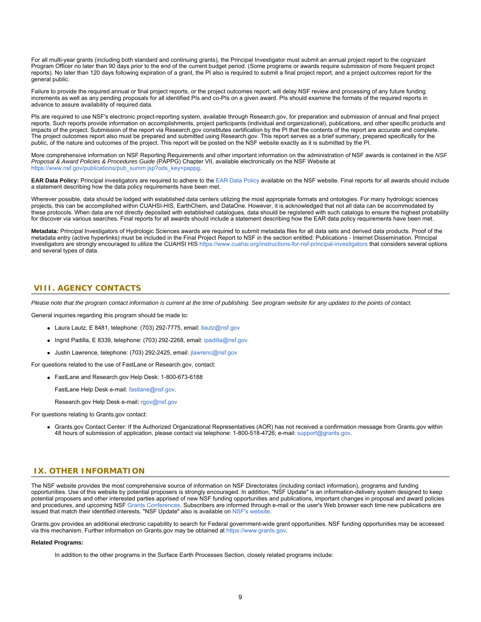For all multi-year grants (including both standard and continuing grants), the Principal Investigator must submit an annual project report to the cognizant Program Officer no later than 90 days prior to the end of the current budget period. (Some programs or awards require submission of more frequent project reports). No later than 120 days following expiration of a grant, the PI also is required to submit a final project report, and a project outcomes report for the general public.

Failure to provide the required annual or final project reports, or the project outcomes report, will delay NSF review and processing of any future funding increments as well as any pending proposals for all identified PIs and co-PIs on a given award. PIs should examine the formats of the required reports in advance to assure availability of required data.

PIs are required to use NSF's electronic project-reporting system, available through Research.gov, for preparation and submission of annual and final project reports. Such reports provide information on accomplishments, project participants (individual and organizational), publications, and other specific products and impacts of the project. Submission of the report via Research.gov constitutes certification by the PI that the contents of the report are accurate and complete. The project outcomes report also must be prepared and submitted using Research.gov. This report serves as a brief summary, prepared specifically for the public, of the nature and outcomes of the project. This report will be posted on the NSF website exactly as it is submitted by the PI.

More comprehensive information on NSF Reporting Requirements and other important information on the administration of NSF awards is contained in the *NSF Proposal & Award Policies & Procedures Guide* (PAPPG) Chapter VII, available electronically on the NSF Website at https://www.nsf.gov/publications/pub\_summ.jsp?ods\_key=pappg

**EAR Data Policy:** Principal investigators are required to adhere to the [EAR Data Policy](https://www.nsf.gov/geo/ear/2010EAR_data_policy_9_28_10.pdf) available on the NSF website. Final reports for all awards should include a statement describing how the data policy requirements have been met.

Wherever possible, data should be lodged with established data centers utilizing the most appropriate formats and ontologies. For many hydrologic sciences projects, this can be accomplished within CUAHSI-HIS, EarthChem, and DataOne. However, it is acknowledged that not all data can be accommodated by these protocols. When data are not directly deposited with established catalogues, data should be registered with such catalogs to ensure the highest probability for discover via various searches. Final reports for all awards should include a statement describing how the EAR data policy requirements have been met.

**Metadata:** Principal Investigators of Hydrologic Sciences awards are required to submit metadata files for all data sets and derived data products. Proof of the metadata entry (active hyperlinks) must be included in the Final Project Report to NSF in the section entitled: Publications - Internet Dissemination. Principal investigators are strongly encouraged to utilize the CUAHSI HIS [https://www.cuahsi.org/instructions-for-nsf-principal-investigators](https://www.nsf.gov/cgi-bin/goodbye?https://www.cuahsi.org/instructions-for-nsf-principal-investigators) that considers several options and several types of data.

# <span id="page-8-0"></span>**VIII. AGENCY CONTACTS**

*Please note that the program contact information is current at the time of publishing. See program website for any updates to the points of contact.*

General inquiries regarding this program should be made to:

- Laura Lautz, E 8481, telephone: (703) 292-7775, email: [llautz@nsf.gov](mailto:llautz@nsf.gov)
- $\bullet$  Ingrid Padilla, E 8339, telephone: (703) 292-2268, email: [ipadilla@nsf.gov](mailto:ipadilla@nsf.gov)
- Justin Lawrence, telephone: (703) 292-2425, email: *jlawrenc@nsf.gov*

For questions related to the use of FastLane or Research.gov, contact:

FastLane and Research.gov Help Desk: 1-800-673-6188

FastLane Help Desk e-mail: [fastlane@nsf.gov](mailto:fastlane@nsf.gov).

Research.gov Help Desk e-mail: [rgov@nsf.gov](mailto:rgov@nsf.gov)

For questions relating to Grants.gov contact:

Grants.gov Contact Center: If the Authorized Organizational Representatives (AOR) has not received a confirmation message from Grants.gov within 48 hours of submission of application, please contact via telephone: 1-800-518-4726; e-mail: [support@grants.gov](mailto:support@grants.gov).

# <span id="page-8-1"></span>**IX. OTHER INFORMATION**

The NSF website provides the most comprehensive source of information on NSF Directorates (including contact information), programs and funding opportunities. Use of this website by potential proposers is strongly encouraged. In addition, "NSF Update" is an information-delivery system designed to keep potential proposers and other interested parties apprised of new NSF funding opportunities and publications, important changes in proposal and award policies and procedures, and upcoming NSF [Grants Conferences](https://www.nsf.gov/bfa/dias/policy/outreach.jsp). Subscribers are informed through e-mail or the user's Web browser each time new publications are issued that match their identified interests. "NSF Update" also is available on [NSF's website](https://www.nsf.gov/cgi-bin/goodbye?https://public.govdelivery.com/accounts/USNSF/subscriber/new?topic_id=USNSF_179).

Grants.gov provides an additional electronic capability to search for Federal government-wide grant opportunities. NSF funding opportunities may be accessed via this mechanism. Further information on Grants.gov may be obtained at [https://www.grants.gov](https://www.grants.gov/).

#### **Related Programs:**

In addition to the other programs in the Surface Earth Processes Section, closely related programs include: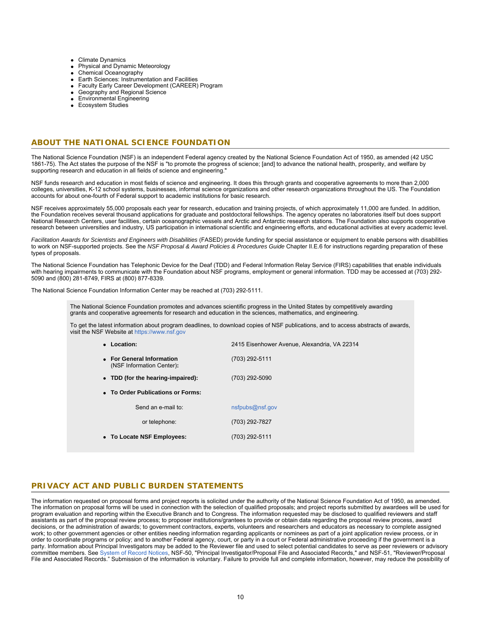- Climate Dynamics
- Physical and Dynamic Meteorology
- Chemical Oceanography
- Earth Sciences: Instrumentation and Facilities
- Faculty Early Career Development (CAREER) Program
- Geography and Regional Science
- **Environmental Engineering**
- **Ecosystem Studies**

# **ABOUT THE NATIONAL SCIENCE FOUNDATION**

The National Science Foundation (NSF) is an independent Federal agency created by the National Science Foundation Act of 1950, as amended (42 USC 1861-75). The Act states the purpose of the NSF is "to promote the progress of science; [and] to advance the national health, prosperity, and welfare by supporting research and education in all fields of science and engineering."

NSF funds research and education in most fields of science and engineering. It does this through grants and cooperative agreements to more than 2,000 colleges, universities, K-12 school systems, businesses, informal science organizations and other research organizations throughout the US. The Foundation accounts for about one-fourth of Federal support to academic institutions for basic research.

NSF receives approximately 55,000 proposals each year for research, education and training projects, of which approximately 11,000 are funded. In addition, the Foundation receives several thousand applications for graduate and postdoctoral fellowships. The agency operates no laboratories itself but does support National Research Centers, user facilities, certain oceanographic vessels and Arctic and Antarctic research stations. The Foundation also supports cooperative research between universities and industry, US participation in international scientific and engineering efforts, and educational activities at every academic level.

Facilitation Awards for Scientists and Engineers with Disabilities (FASED) provide funding for special assistance or equipment to enable persons with disabilities to work on NSF-supported projects. See the *NSF Proposal & Award Policies & Procedures Guide* Chapter II.E.6 for instructions regarding preparation of these types of proposals.

The National Science Foundation has Telephonic Device for the Deaf (TDD) and Federal Information Relay Service (FIRS) capabilities that enable individuals with hearing impairments to communicate with the Foundation about NSF programs, employment or general information. TDD may be accessed at (703) 292-5090 and (800) 281-8749, FIRS at (800) 877-8339.

The National Science Foundation Information Center may be reached at (703) 292-5111.

The National Science Foundation promotes and advances scientific progress in the United States by competitively awarding grants and cooperative agreements for research and education in the sciences, mathematics, and engineering.

To get the latest information about program deadlines, to download copies of NSF publications, and to access abstracts of awards, visit the NSF Website at [https://www.nsf.gov](https://www.nsf.gov/)

| • Location:                                            | 2415 Eisenhower Avenue, Alexandria, VA 22314 |  |  |  |  |  |
|--------------------------------------------------------|----------------------------------------------|--|--|--|--|--|
| • For General Information<br>(NSF Information Center): | (703) 292-5111                               |  |  |  |  |  |
| • TDD (for the hearing-impaired):                      | (703) 292-5090                               |  |  |  |  |  |
| • To Order Publications or Forms:                      |                                              |  |  |  |  |  |
| Send an e-mail to:                                     | nsfpubs@nsf.gov                              |  |  |  |  |  |
| or telephone:                                          | (703) 292-7827                               |  |  |  |  |  |
| • To Locate NSF Employees:                             | (703) 292-5111                               |  |  |  |  |  |

# **PRIVACY ACT AND PUBLIC BURDEN STATEMENTS**

The information requested on proposal forms and project reports is solicited under the authority of the National Science Foundation Act of 1950, as amended. The information on proposal forms will be used in connection with the selection of qualified proposals; and project reports submitted by awardees will be used for program evaluation and reporting within the Executive Branch and to Congress. The information requested may be disclosed to qualified reviewers and staff assistants as part of the proposal review process; to proposer institutions/grantees to provide or obtain data regarding the proposal review process, award decisions, or the administration of awards; to government contractors, experts, volunteers and researchers and educators as necessary to complete assigned work; to other government agencies or other entities needing information regarding applicants or nominees as part of a joint application review process, or in order to coordinate programs or policy; and to another Federal agency, court, or party in a court or Federal administrative proceeding if the government is a party. Information about Principal Investigators may be added to the Reviewer file and used to select potential candidates to serve as peer reviewers or advisory committee members. See [System of Record Notices](https://www.nsf.gov/privacy/), NSF-50, "Principal Investigator/Proposal File and Associated Records," and NSF-51, "Reviewer/Proposal File and Associated Records." Submission of the information is voluntary. Failure to provide full and complete information, however, may reduce the possibility of